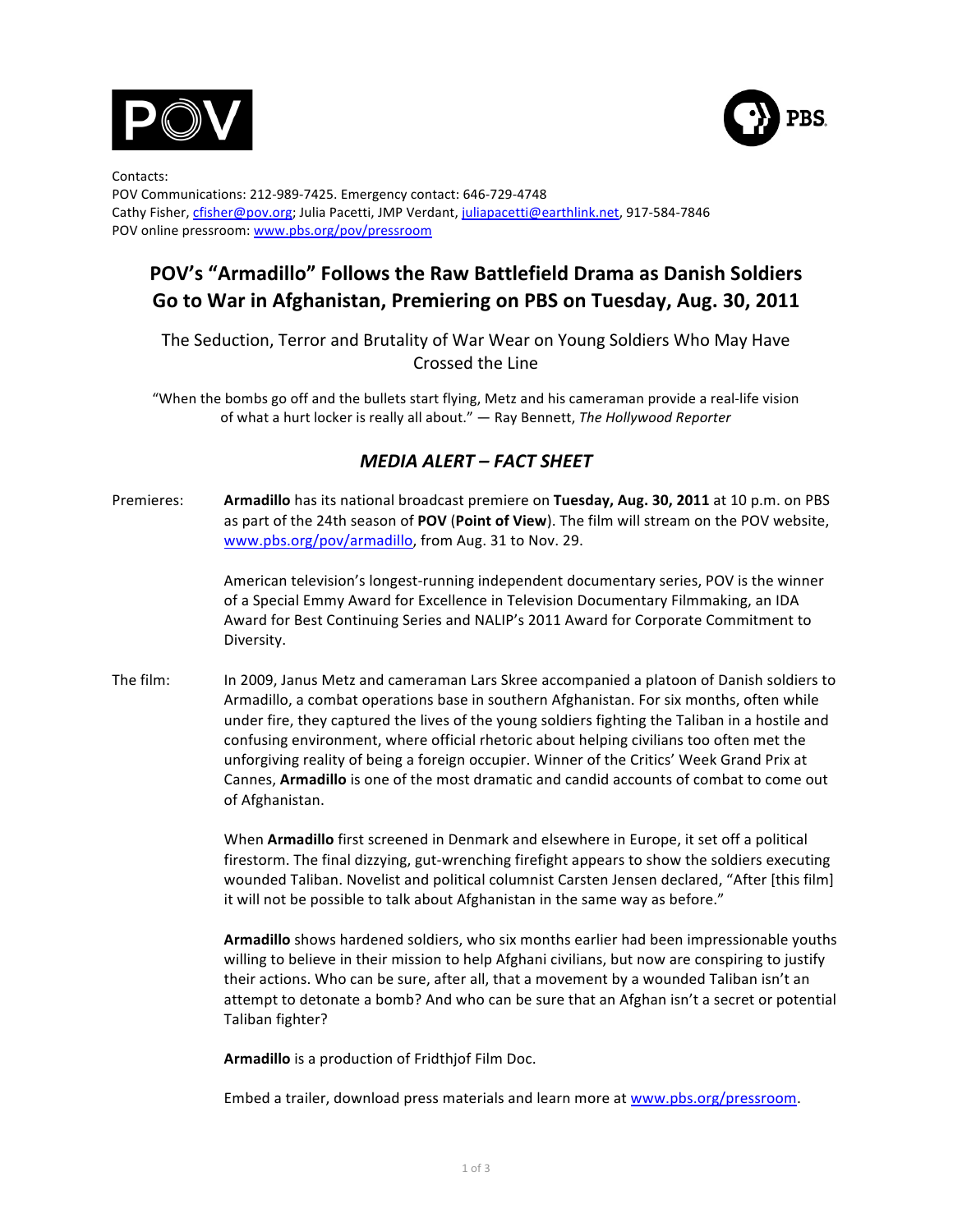



Contacts: POV Communications: 212-989-7425. Emergency contact: 646-729-4748 Cathy Fisher, cfisher@pov.org; Julia Pacetti, JMP Verdant, juliapacetti@earthlink.net, 917-584-7846 POV online pressroom: www.pbs.org/pov/pressroom

## POV's "Armadillo" Follows the Raw Battlefield Drama as Danish Soldiers Go to War in Afghanistan, Premiering on PBS on Tuesday, Aug. 30, 2011

The Seduction, Terror and Brutality of War Wear on Young Soldiers Who May Have Crossed the Line

"When the bombs go off and the bullets start flying, Metz and his cameraman provide a real-life vision of what a hurt locker is really all about." — Ray Bennett, The Hollywood Reporter

## *MEDIA ALERT – FACT SHEET*

Premieres: **Armadillo** has its national broadcast premiere on Tuesday, Aug. 30, 2011 at 10 p.m. on PBS as part of the 24th season of POV (Point of View). The film will stream on the POV website, www.pbs.org/pov/armadillo, from Aug. 31 to Nov. 29.

> American television's longest-running independent documentary series, POV is the winner of a Special Emmy Award for Excellence in Television Documentary Filmmaking, an IDA Award for Best Continuing Series and NALIP's 2011 Award for Corporate Commitment to Diversity.

The film: In 2009, Janus Metz and cameraman Lars Skree accompanied a platoon of Danish soldiers to Armadillo, a combat operations base in southern Afghanistan. For six months, often while under fire, they captured the lives of the young soldiers fighting the Taliban in a hostile and confusing environment, where official rhetoric about helping civilians too often met the unforgiving reality of being a foreign occupier. Winner of the Critics' Week Grand Prix at Cannes, **Armadillo** is one of the most dramatic and candid accounts of combat to come out of Afghanistan.

> When **Armadillo** first screened in Denmark and elsewhere in Europe, it set off a political firestorm. The final dizzying, gut-wrenching firefight appears to show the soldiers executing wounded Taliban. Novelist and political columnist Carsten Jensen declared, "After [this film] it will not be possible to talk about Afghanistan in the same way as before."

> Armadillo shows hardened soldiers, who six months earlier had been impressionable youths willing to believe in their mission to help Afghani civilians, but now are conspiring to justify their actions. Who can be sure, after all, that a movement by a wounded Taliban isn't an attempt to detonate a bomb? And who can be sure that an Afghan isn't a secret or potential Taliban fighter?

Armadillo is a production of Fridthjof Film Doc.

Embed a trailer, download press materials and learn more at www.pbs.org/pressroom.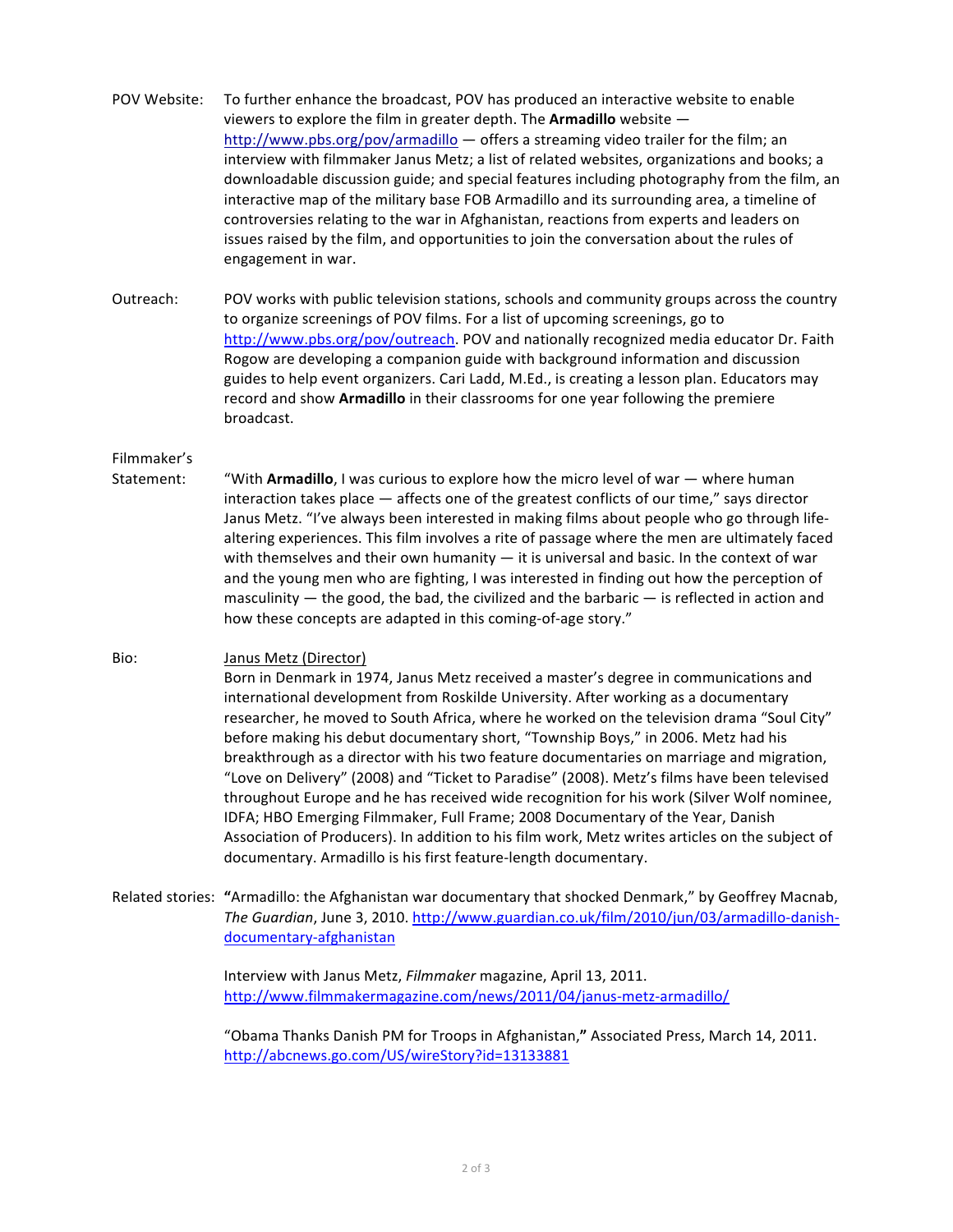POV Website: To further enhance the broadcast, POV has produced an interactive website to enable viewers to explore the film in greater depth. The Armadillo website  $$ http://www.pbs.org/pov/armadillo  $-$  offers a streaming video trailer for the film; an interview with filmmaker Janus Metz; a list of related websites, organizations and books; a downloadable discussion guide; and special features including photography from the film, an interactive map of the military base FOB Armadillo and its surrounding area, a timeline of controversies relating to the war in Afghanistan, reactions from experts and leaders on issues raised by the film, and opportunities to join the conversation about the rules of engagement in war.

Outreach: POV works with public television stations, schools and community groups across the country to organize screenings of POV films. For a list of upcoming screenings, go to http://www.pbs.org/pov/outreach. POV and nationally recognized media educator Dr. Faith Rogow are developing a companion guide with background information and discussion guides to help event organizers. Cari Ladd, M.Ed., is creating a lesson plan. Educators may record and show **Armadillo** in their classrooms for one year following the premiere broadcast.

## Filmmaker's

Statement: "With **Armadillo**, I was curious to explore how the micro level of war — where human interaction takes place  $-$  affects one of the greatest conflicts of our time," says director Janus Metz. "I've always been interested in making films about people who go through lifealtering experiences. This film involves a rite of passage where the men are ultimately faced with themselves and their own humanity  $-$  it is universal and basic. In the context of war and the young men who are fighting, I was interested in finding out how the perception of masculinity  $-$  the good, the bad, the civilized and the barbaric  $-$  is reflected in action and how these concepts are adapted in this coming-of-age story."

## Bio: Janus Metz (Director)

Born in Denmark in 1974, Janus Metz received a master's degree in communications and international development from Roskilde University. After working as a documentary researcher, he moved to South Africa, where he worked on the television drama "Soul City" before making his debut documentary short, "Township Boys," in 2006. Metz had his breakthrough as a director with his two feature documentaries on marriage and migration, "Love on Delivery" (2008) and "Ticket to Paradise" (2008). Metz's films have been televised throughout Europe and he has received wide recognition for his work (Silver Wolf nominee, IDFA; HBO Emerging Filmmaker, Full Frame; 2008 Documentary of the Year, Danish Association of Producers). In addition to his film work, Metz writes articles on the subject of documentary. Armadillo is his first feature-length documentary.

Related stories: "Armadillo: the Afghanistan war documentary that shocked Denmark," by Geoffrey Macnab, *The Guardian*, June 3, 2010. http://www.guardian.co.uk/film/2010/jun/03/armadillo-danishdocumentary-afghanistan

> Interview with Janus Metz, Filmmaker magazine, April 13, 2011. http://www.filmmakermagazine.com/news/2011/04/janus-metz-armadillo/

"Obama Thanks Danish PM for Troops in Afghanistan," Associated Press, March 14, 2011. http://abcnews.go.com/US/wireStory?id=13133881